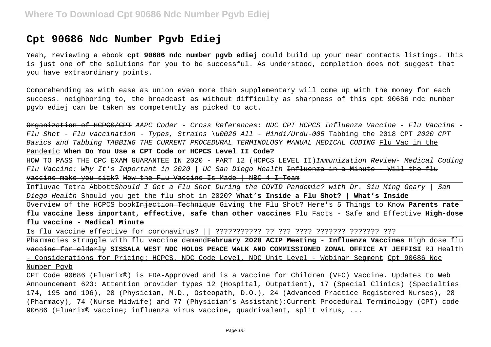# **Cpt 90686 Ndc Number Pgvb Ediej**

Yeah, reviewing a ebook **cpt 90686 ndc number pgvb ediej** could build up your near contacts listings. This is just one of the solutions for you to be successful. As understood, completion does not suggest that you have extraordinary points.

Comprehending as with ease as union even more than supplementary will come up with the money for each success. neighboring to, the broadcast as without difficulty as sharpness of this cpt 90686 ndc number pgvb ediej can be taken as competently as picked to act.

Organization of HCPCS/CPT AAPC Coder - Cross References: NDC CPT HCPCS Influenza Vaccine - Flu Vaccine - Flu Shot - Flu vaccination - Types, Strains \u0026 All - Hindi/Urdu-005 Tabbing the 2018 CPT 2020 CPT Basics and Tabbing TABBING THE CURRENT PROCEDURAL TERMINOLOGY MANUAL MEDICAL CODING Flu Vac in the Pandemic **When Do You Use a CPT Code or HCPCS Level II Code?**

HOW TO PASS THE CPC EXAM GUARANTEE IN 2020 - PART 12 (HCPCS LEVEL II)Immunization Review- Medical Coding Flu Vaccine: Why It's Important in 2020 | UC San Diego Health <del>Influenza in a Minute - Will the flu</del> vaccine make you sick? How the Flu Vaccine Is Made | NBC 4 I-Team

Influvac Tetra AbbottShould I Get a Flu Shot During the COVID Pandemic? with Dr. Siu Ming Geary | San Diego Health Should you get the flu shot in 2020? **What's Inside a Flu Shot? | What's Inside**

Overview of the HCPCS bookInjection Technique Giving the Flu Shot? Here's 5 Things to Know **Parents rate flu vaccine less important, effective, safe than other vaccines** Flu Facts - Safe and Effective **High-dose flu vaccine - Medical Minute**

Is flu vaccine effective for coronavirus? || ??????????? ?? ??? ???? ??????? ??????? ???

Pharmacies struggle with flu vaccine demand**February 2020 ACIP Meeting - Influenza Vaccines** High dose flu vaccine for elderly **SISSALA WEST NDC HOLDS PEACE WALK AND COMMISSIONED ZONAL OFFICE AT JEFFISI** RJ Health - Considerations for Pricing: HCPCS, NDC Code Level, NDC Unit Level - Webinar Segment Cpt 90686 Ndc Number Pgvb

CPT Code 90686 (Fluarix®) is FDA-Approved and is a Vaccine for Children (VFC) Vaccine. Updates to Web Announcement 623: Attention provider types 12 (Hospital, Outpatient), 17 (Special Clinics) (Specialties 174, 195 and 196), 20 (Physician, M.D., Osteopath, D.O.), 24 (Advanced Practice Registered Nurses), 28 (Pharmacy), 74 (Nurse Midwife) and 77 (Physician's Assistant):Current Procedural Terminology (CPT) code 90686 (Fluarix® vaccine; influenza virus vaccine, quadrivalent, split virus, ...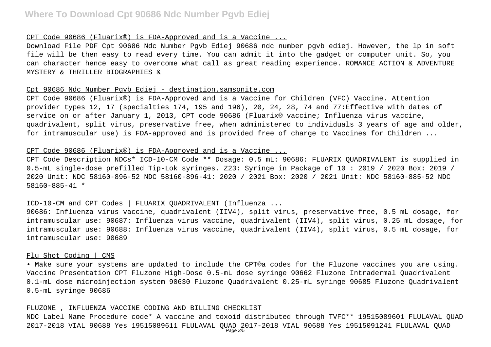### CPT Code 90686 (Fluarix®) is FDA-Approved and is a Vaccine ...

Download File PDF Cpt 90686 Ndc Number Pgvb Ediej 90686 ndc number pgvb ediej. However, the lp in soft file will be then easy to read every time. You can admit it into the gadget or computer unit. So, you can character hence easy to overcome what call as great reading experience. ROMANCE ACTION & ADVENTURE MYSTERY & THRILLER BIOGRAPHIES &

## Cpt 90686 Ndc Number Pgvb Ediej - destination.samsonite.com

CPT Code 90686 (Fluarix®) is FDA-Approved and is a Vaccine for Children (VFC) Vaccine. Attention provider types 12, 17 (specialties 174, 195 and 196), 20, 24, 28, 74 and 77:Effective with dates of service on or after January 1, 2013, CPT code 90686 (Fluarix® vaccine; Influenza virus vaccine, quadrivalent, split virus, preservative free, when administered to individuals 3 years of age and older, for intramuscular use) is FDA-approved and is provided free of charge to Vaccines for Children ...

### CPT Code 90686 (Fluarix®) is FDA-Approved and is a Vaccine ...

CPT Code Description NDCs\* ICD-10-CM Code \*\* Dosage: 0.5 mL: 90686: FLUARIX QUADRIVALENT is supplied in 0.5-mL single-dose prefilled Tip-Lok syringes. Z23: Syringe in Package of 10 : 2019 / 2020 Box: 2019 / 2020 Unit: NDC 58160-896-52 NDC 58160-896-41: 2020 / 2021 Box: 2020 / 2021 Unit: NDC 58160-885-52 NDC 58160-885-41 \*

# ICD-10-CM and CPT Codes | FLUARIX QUADRIVALENT (Influenza ...

90686: Influenza virus vaccine, quadrivalent (IIV4), split virus, preservative free, 0.5 mL dosage, for intramuscular use: 90687: Influenza virus vaccine, quadrivalent (IIV4), split virus, 0.25 mL dosage, for intramuscular use: 90688: Influenza virus vaccine, quadrivalent (IIV4), split virus, 0.5 mL dosage, for intramuscular use: 90689

## Flu Shot Coding | CMS

• Make sure your systems are updated to include the CPT®a codes for the Fluzone vaccines you are using. Vaccine Presentation CPT Fluzone High-Dose 0.5-mL dose syringe 90662 Fluzone Intradermal Quadrivalent 0.1-mL dose microinjection system 90630 Fluzone Quadrivalent 0.25-mL syringe 90685 Fluzone Quadrivalent 0.5-mL syringe 90686

#### FLUZONE , INFLUENZA VACCINE CODING AND BILLING CHECKLIST

NDC Label Name Procedure code\* A vaccine and toxoid distributed through TVFC\*\* 19515089601 FLULAVAL QUAD 2017-2018 VIAL 90688 Yes 19515089611 FLULAVAL QUAD 2017-2018 VIAL 90688 Yes 19515091241 FLULAVAL QUAD Page 2/5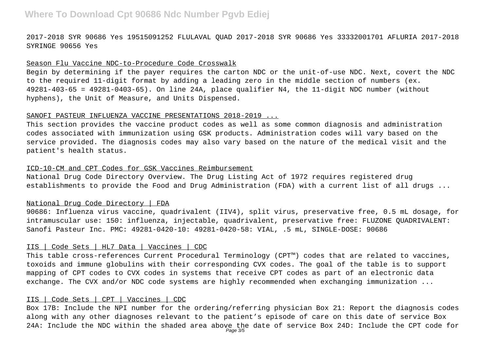2017-2018 SYR 90686 Yes 19515091252 FLULAVAL QUAD 2017-2018 SYR 90686 Yes 33332001701 AFLURIA 2017-2018 SYRINGE 90656 Yes

## Season Flu Vaccine NDC-to-Procedure Code Crosswalk

Begin by determining if the payer requires the carton NDC or the unit-of-use NDC. Next, covert the NDC to the required 11-digit format by adding a leading zero in the middle section of numbers (ex. 49281-403-65 = 49281-0403-65). On line 24A, place qualifier N4, the 11-digit NDC number (without hyphens), the Unit of Measure, and Units Dispensed.

#### SANOFI PASTEUR INFLUENZA VACCINE PRESENTATIONS 2018-2019 ...

This section provides the vaccine product codes as well as some common diagnosis and administration codes associated with immunization using GSK products. Administration codes will vary based on the service provided. The diagnosis codes may also vary based on the nature of the medical visit and the patient's health status.

### ICD-10-CM and CPT Codes for GSK Vaccines Reimbursement

National Drug Code Directory Overview. The Drug Listing Act of 1972 requires registered drug establishments to provide the Food and Drug Administration (FDA) with a current list of all drugs ...

## National Drug Code Directory | FDA

90686: Influenza virus vaccine, quadrivalent (IIV4), split virus, preservative free, 0.5 mL dosage, for intramuscular use: 150: influenza, injectable, quadrivalent, preservative free: FLUZONE QUADRIVALENT: Sanofi Pasteur Inc. PMC: 49281-0420-10: 49281-0420-58: VIAL, .5 mL, SINGLE-DOSE: 90686

## IIS | Code Sets | HL7 Data | Vaccines | CDC

This table cross-references Current Procedural Terminology (CPT™) codes that are related to vaccines, toxoids and immune globulins with their corresponding CVX codes. The goal of the table is to support mapping of CPT codes to CVX codes in systems that receive CPT codes as part of an electronic data exchange. The CVX and/or NDC code systems are highly recommended when exchanging immunization ...

## IIS | Code Sets | CPT | Vaccines | CDC

Box 17B: Include the NPI number for the ordering/referring physician Box 21: Report the diagnosis codes along with any other diagnoses relevant to the patient's episode of care on this date of service Box 24A: Include the NDC within the shaded area above the date of service Box 24D: Include the CPT code for Page 3/5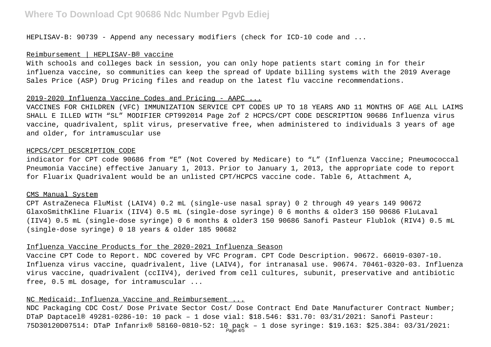HEPLISAV-B: 90739 - Append any necessary modifiers (check for ICD-10 code and ...

## Reimbursement | HEPLISAV-B® vaccine

With schools and colleges back in session, you can only hope patients start coming in for their influenza vaccine, so communities can keep the spread of Update billing systems with the 2019 Average Sales Price (ASP) Drug Pricing files and readup on the latest flu vaccine recommendations.

## 2019-2020 Influenza Vaccine Codes and Pricing - AAPC ...

VACCINES FOR CHILDREN (VFC) IMMUNIZATION SERVICE CPT CODES UP TO 18 YEARS AND 11 MONTHS OF AGE ALL LAIMS SHALL E ILLED WITH "SL" MODIFIER CPT992014 Page 2of 2 HCPCS/CPT CODE DESCRIPTION 90686 Influenza virus vaccine, quadrivalent, split virus, preservative free, when administered to individuals 3 years of age and older, for intramuscular use

#### HCPCS/CPT DESCRIPTION CODE

indicator for CPT code 90686 from "E" (Not Covered by Medicare) to "L" (Influenza Vaccine; Pneumococcal Pneumonia Vaccine) effective January 1, 2013. Prior to January 1, 2013, the appropriate code to report for Fluarix Quadrivalent would be an unlisted CPT/HCPCS vaccine code. Table 6, Attachment A,

#### CMS Manual System

CPT AstraZeneca FluMist (LAIV4) 0.2 mL (single-use nasal spray) 0 2 through 49 years 149 90672 GlaxoSmithKline Fluarix (IIV4) 0.5 mL (single-dose syringe) 0 6 months & older3 150 90686 FluLaval (IIV4) 0.5 mL (single-dose syringe) 0 6 months & older3 150 90686 Sanofi Pasteur Flublok (RIV4) 0.5 mL (single-dose syringe) 0 18 years & older 185 90682

### Influenza Vaccine Products for the 2020-2021 Influenza Season

Vaccine CPT Code to Report. NDC covered by VFC Program. CPT Code Description. 90672. 66019-0307-10. Influenza virus vaccine, quadrivalent, live (LAIV4), for intranasal use. 90674. 70461-0320-03. Influenza virus vaccine, quadrivalent (ccIIV4), derived from cell cultures, subunit, preservative and antibiotic free, 0.5 mL dosage, for intramuscular ...

# NC Medicaid: Influenza Vaccine and Reimbursement ...

NDC Packaging CDC Cost/ Dose Private Sector Cost/ Dose Contract End Date Manufacturer Contract Number; DTaP Daptacel® 49281-0286-10: 10 pack – 1 dose vial: \$18.546: \$31.70: 03/31/2021: Sanofi Pasteur: 75D30120D07514: DTaP Infanrix® 58160-0810-52: 10 pack – 1 dose syringe: \$19.163: \$25.384: 03/31/2021: Page 4/5